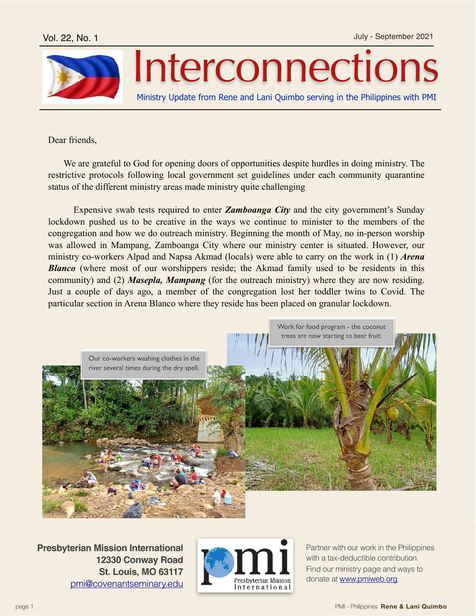

## Interconnections

Ministry Update from Rene and Lani Quimbo serving in the Philippines with PMI

Dear friends,

 We are grateful to God for opening doors of opportunities despite hurdles in doing ministry. The restrictive protocols following local government set guidelines under each community quarantine status of the different ministry areas made ministry quite challenging

 Expensive swab tests required to enter *Zamboanga City* and the city government's Sunday lockdown pushed us to be creative in the ways we continue to minister to the members of the congregation and how we do outreach ministry. Beginning the month of May, no in-person worship was allowed in Mampang, Zamboanga City where our ministry center is situated. However, our ministry co-workers Alpad and Napsa Akmad (locals) were able to carry on the work in (1) *Arena*  **Blanco** (where most of our worshippers reside; the Akmad family used to be residents in this community) and (2) *Masepla, Mampang* (for the outreach ministry) where they are now residing. Just a couple of days ago, a member of the congregation lost her toddler twins to Covid. The particular section in Arena Blanco where they reside has been placed on granular lockdown.



**Presbyterian Mission International 12330 Conway Road St. Louis, MO 63117** [pmi@covenantseminary.edu](mailto:pmi@covenantseminary.edu)



Partner with our work in the Philippines with a tax-deductible contribution. Find our ministry page and ways to donate at [www.pmiweb.org](http://www.pmiweb.org)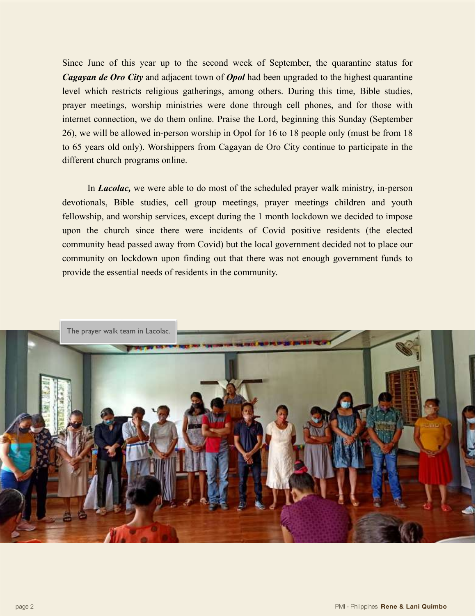Since June of this year up to the second week of September, the quarantine status for *Cagayan de Oro City* and adjacent town of *Opol* had been upgraded to the highest quarantine level which restricts religious gatherings, among others. During this time, Bible studies, prayer meetings, worship ministries were done through cell phones, and for those with internet connection, we do them online. Praise the Lord, beginning this Sunday (September 26), we will be allowed in-person worship in Opol for 16 to 18 people only (must be from 18 to 65 years old only). Worshippers from Cagayan de Oro City continue to participate in the different church programs online.

 In *Lacolac,* we were able to do most of the scheduled prayer walk ministry, in-person devotionals, Bible studies, cell group meetings, prayer meetings children and youth fellowship, and worship services, except during the 1 month lockdown we decided to impose upon the church since there were incidents of Covid positive residents (the elected community head passed away from Covid) but the local government decided not to place our community on lockdown upon finding out that there was not enough government funds to provide the essential needs of residents in the community.